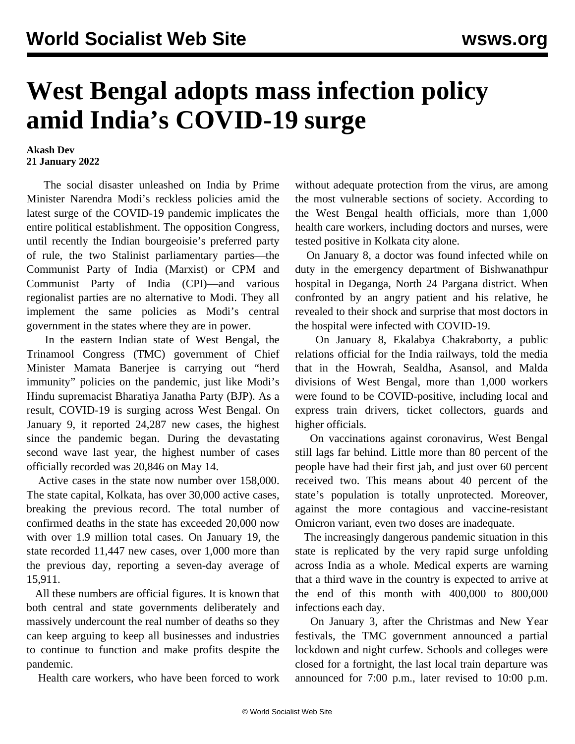## **West Bengal adopts mass infection policy amid India's COVID-19 surge**

## **Akash Dev 21 January 2022**

 The social disaster unleashed on India by Prime Minister Narendra Modi's reckless policies amid the latest surge of the COVID-19 pandemic implicates the entire political establishment. The opposition Congress, until recently the Indian bourgeoisie's preferred party of rule, the two Stalinist parliamentary parties—the Communist Party of India (Marxist) or CPM and Communist Party of India (CPI)—and various regionalist parties are no alternative to Modi. They all implement the same policies as Modi's central government in the states where they are in power.

 In the eastern Indian state of West Bengal, the Trinamool Congress (TMC) government of Chief Minister Mamata Banerjee is carrying out "herd immunity" policies on the pandemic, just like Modi's Hindu supremacist Bharatiya Janatha Party (BJP). As a result, COVID-19 is surging across West Bengal. On January 9, it reported 24,287 new cases, the highest since the pandemic began. During the devastating second wave last year, the highest number of cases officially recorded was 20,846 on May 14.

 Active cases in the state now number over 158,000. The state capital, Kolkata, has over 30,000 active cases, breaking the previous record. The total number of confirmed deaths in the state has exceeded 20,000 now with over 1.9 million total cases. On January 19, the state recorded 11,447 new cases, over 1,000 more than the previous day, reporting a seven-day average of 15,911.

 All these numbers are official figures. It is known that both central and state governments deliberately and massively undercount the real number of deaths so they can keep arguing to keep all businesses and industries to continue to function and make profits despite the pandemic.

Health care workers, who have been forced to work

without adequate protection from the virus, are among the most vulnerable sections of society. According to the West Bengal health officials, more than 1,000 health care workers, including doctors and nurses, were tested positive in Kolkata city alone.

 On January 8, a doctor was found infected while on duty in the emergency department of Bishwanathpur hospital in Deganga, North 24 Pargana district. When confronted by an angry patient and his relative, he revealed to their shock and surprise that most doctors in the hospital were infected with COVID-19.

 On January 8, Ekalabya Chakraborty, a public relations official for the India railways, told the media that in the Howrah, Sealdha, Asansol, and Malda divisions of West Bengal, more than 1,000 workers were found to be COVID-positive, including local and express train drivers, ticket collectors, guards and higher officials.

 On vaccinations against coronavirus, West Bengal still lags far behind. Little more than 80 percent of the people have had their first jab, and just over 60 percent received two. This means about 40 percent of the state's population is totally unprotected. Moreover, against the more contagious and vaccine-resistant Omicron variant, even two doses are inadequate.

 The increasingly dangerous pandemic situation in this state is replicated by the very rapid surge unfolding across India as a whole. Medical experts are warning that a third wave in the country is expected to arrive at the end of this month with 400,000 to 800,000 infections each day.

 On January 3, after the Christmas and New Year festivals, the TMC government announced a partial lockdown and night curfew. Schools and colleges were closed for a fortnight, the last local train departure was announced for 7:00 p.m., later revised to 10:00 p.m.